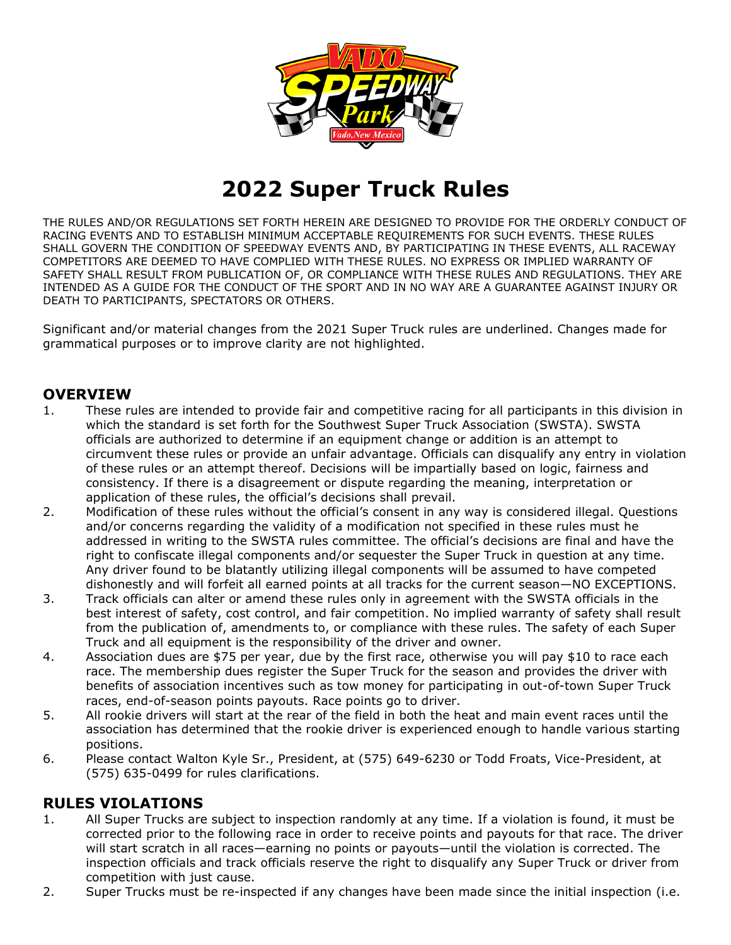

# **2022 Super Truck Rules**

THE RULES AND/OR REGULATIONS SET FORTH HEREIN ARE DESIGNED TO PROVIDE FOR THE ORDERLY CONDUCT OF RACING EVENTS AND TO ESTABLISH MINIMUM ACCEPTABLE REQUIREMENTS FOR SUCH EVENTS. THESE RULES SHALL GOVERN THE CONDITION OF SPEEDWAY EVENTS AND, BY PARTICIPATING IN THESE EVENTS, ALL RACEWAY COMPETITORS ARE DEEMED TO HAVE COMPLIED WITH THESE RULES. NO EXPRESS OR IMPLIED WARRANTY OF SAFETY SHALL RESULT FROM PUBLICATION OF, OR COMPLIANCE WITH THESE RULES AND REGULATIONS. THEY ARE INTENDED AS A GUIDE FOR THE CONDUCT OF THE SPORT AND IN NO WAY ARE A GUARANTEE AGAINST INJURY OR DEATH TO PARTICIPANTS, SPECTATORS OR OTHERS.

Significant and/or material changes from the 2021 Super Truck rules are underlined. Changes made for grammatical purposes or to improve clarity are not highlighted.

#### **OVERVIEW**

- 1. These rules are intended to provide fair and competitive racing for all participants in this division in which the standard is set forth for the Southwest Super Truck Association (SWSTA). SWSTA officials are authorized to determine if an equipment change or addition is an attempt to circumvent these rules or provide an unfair advantage. Officials can disqualify any entry in violation of these rules or an attempt thereof. Decisions will be impartially based on logic, fairness and consistency. If there is a disagreement or dispute regarding the meaning, interpretation or application of these rules, the official's decisions shall prevail.
- 2. Modification of these rules without the official's consent in any way is considered illegal. Questions and/or concerns regarding the validity of a modification not specified in these rules must he addressed in writing to the SWSTA rules committee. The official's decisions are final and have the right to confiscate illegal components and/or sequester the Super Truck in question at any time. Any driver found to be blatantly utilizing illegal components will be assumed to have competed dishonestly and will forfeit all earned points at all tracks for the current season—NO EXCEPTIONS.
- 3. Track officials can alter or amend these rules only in agreement with the SWSTA officials in the best interest of safety, cost control, and fair competition. No implied warranty of safety shall result from the publication of, amendments to, or compliance with these rules. The safety of each Super Truck and all equipment is the responsibility of the driver and owner.
- 4. Association dues are \$75 per year, due by the first race, otherwise you will pay \$10 to race each race. The membership dues register the Super Truck for the season and provides the driver with benefits of association incentives such as tow money for participating in out-of-town Super Truck races, end-of-season points payouts. Race points go to driver.
- 5. All rookie drivers will start at the rear of the field in both the heat and main event races until the association has determined that the rookie driver is experienced enough to handle various starting positions.
- 6. Please contact Walton Kyle Sr., President, at (575) 649-6230 or Todd Froats, Vice-President, at (575) 635-0499 for rules clarifications.

### **RULES VIOLATIONS**

- 1. All Super Trucks are subject to inspection randomly at any time. If a violation is found, it must be corrected prior to the following race in order to receive points and payouts for that race. The driver will start scratch in all races—earning no points or payouts—until the violation is corrected. The inspection officials and track officials reserve the right to disqualify any Super Truck or driver from competition with just cause.
- 2. Super Trucks must be re-inspected if any changes have been made since the initial inspection (i.e.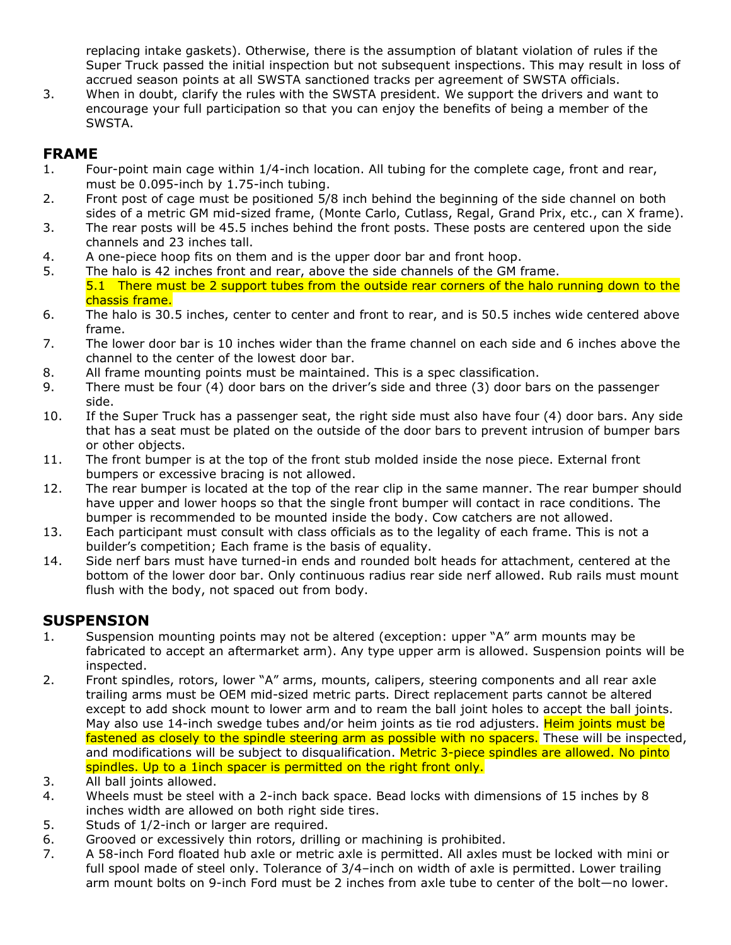replacing intake gaskets). Otherwise, there is the assumption of blatant violation of rules if the Super Truck passed the initial inspection but not subsequent inspections. This may result in loss of accrued season points at all SWSTA sanctioned tracks per agreement of SWSTA officials.

3. When in doubt, clarify the rules with the SWSTA president. We support the drivers and want to encourage your full participation so that you can enjoy the benefits of being a member of the SWSTA.

## **FRAME**

- 1. Four-point main cage within 1/4-inch location. All tubing for the complete cage, front and rear, must be 0.095-inch by 1.75-inch tubing.
- 2. Front post of cage must be positioned 5/8 inch behind the beginning of the side channel on both sides of a metric GM mid-sized frame, (Monte Carlo, Cutlass, Regal, Grand Prix, etc., can X frame).
- 3. The rear posts will be 45.5 inches behind the front posts. These posts are centered upon the side channels and 23 inches tall.
- 4. A one-piece hoop fits on them and is the upper door bar and front hoop.
- 5. The halo is 42 inches front and rear, above the side channels of the GM frame. 5.1 There must be 2 support tubes from the outside rear corners of the halo running down to the chassis frame.
- 6. The halo is 30.5 inches, center to center and front to rear, and is 50.5 inches wide centered above frame.
- 7. The lower door bar is 10 inches wider than the frame channel on each side and 6 inches above the channel to the center of the lowest door bar.
- 8. All frame mounting points must be maintained. This is a spec classification.
- 9. There must be four (4) door bars on the driver's side and three (3) door bars on the passenger side.
- 10. If the Super Truck has a passenger seat, the right side must also have four (4) door bars. Any side that has a seat must be plated on the outside of the door bars to prevent intrusion of bumper bars or other objects.
- 11. The front bumper is at the top of the front stub molded inside the nose piece. External front bumpers or excessive bracing is not allowed.
- 12. The rear bumper is located at the top of the rear clip in the same manner. The rear bumper should have upper and lower hoops so that the single front bumper will contact in race conditions. The bumper is recommended to be mounted inside the body. Cow catchers are not allowed.
- 13. Each participant must consult with class officials as to the legality of each frame. This is not a builder's competition; Each frame is the basis of equality.
- 14. Side nerf bars must have turned-in ends and rounded bolt heads for attachment, centered at the bottom of the lower door bar. Only continuous radius rear side nerf allowed. Rub rails must mount flush with the body, not spaced out from body.

# **SUSPENSION**

- 1. Suspension mounting points may not be altered (exception: upper "A" arm mounts may be fabricated to accept an aftermarket arm). Any type upper arm is allowed. Suspension points will be inspected.
- 2. Front spindles, rotors, lower "A" arms, mounts, calipers, steering components and all rear axle trailing arms must be OEM mid-sized metric parts. Direct replacement parts cannot be altered except to add shock mount to lower arm and to ream the ball joint holes to accept the ball joints. May also use 14-inch swedge tubes and/or heim joints as tie rod adjusters. Heim joints must be fastened as closely to the spindle steering arm as possible with no spacers. These will be inspected, and modifications will be subject to disqualification. Metric 3-piece spindles are allowed. No pinto spindles. Up to a 1inch spacer is permitted on the right front only.
- 3. All ball joints allowed.
- 4. Wheels must be steel with a 2-inch back space. Bead locks with dimensions of 15 inches by 8 inches width are allowed on both right side tires.
- 5. Studs of 1/2-inch or larger are required.
- 6. Grooved or excessively thin rotors, drilling or machining is prohibited.
- 7. A 58-inch Ford floated hub axle or metric axle is permitted. All axles must be locked with mini or full spool made of steel only. Tolerance of 3/4-inch on width of axle is permitted. Lower trailing arm mount bolts on 9-inch Ford must be 2 inches from axle tube to center of the bolt—no lower.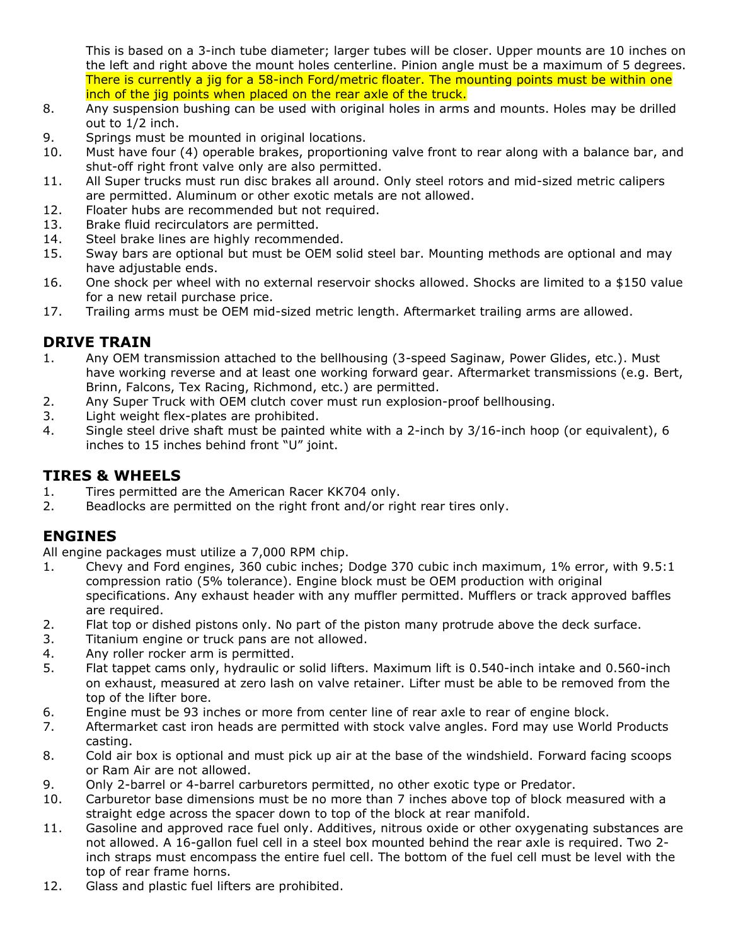This is based on a 3-inch tube diameter; larger tubes will be closer. Upper mounts are 10 inches on the left and right above the mount holes centerline. Pinion angle must be a maximum of 5 degrees. There is currently a jig for a 58-inch Ford/metric floater. The mounting points must be within one inch of the jig points when placed on the rear axle of the truck.

- 8. Any suspension bushing can be used with original holes in arms and mounts. Holes may be drilled out to 1/2 inch.
- 9. Springs must be mounted in original locations.
- 10. Must have four (4) operable brakes, proportioning valve front to rear along with a balance bar, and shut-off right front valve only are also permitted.
- 11. All Super trucks must run disc brakes all around. Only steel rotors and mid-sized metric calipers are permitted. Aluminum or other exotic metals are not allowed.
- 12. Floater hubs are recommended but not required.
- 13. Brake fluid recirculators are permitted.
- 14. Steel brake lines are highly recommended.
- 15. Sway bars are optional but must be OEM solid steel bar. Mounting methods are optional and may have adjustable ends.
- 16. One shock per wheel with no external reservoir shocks allowed. Shocks are limited to a \$150 value for a new retail purchase price.
- 17. Trailing arms must be OEM mid-sized metric length. Aftermarket trailing arms are allowed.

#### **DRIVE TRAIN**

- 1. Any OEM transmission attached to the bellhousing (3-speed Saginaw, Power Glides, etc.). Must have working reverse and at least one working forward gear. Aftermarket transmissions (e.g. Bert, Brinn, Falcons, Tex Racing, Richmond, etc.) are permitted.
- 2. Any Super Truck with OEM clutch cover must run explosion-proof bellhousing.
- 3. Light weight flex-plates are prohibited.
- 4. Single steel drive shaft must be painted white with a 2-inch by 3/16-inch hoop (or equivalent), 6 inches to 15 inches behind front "U" joint.

#### **TIRES & WHEELS**

- 1. Tires permitted are the American Racer KK704 only.
- 2. Beadlocks are permitted on the right front and/or right rear tires only.

### **ENGINES**

All engine packages must utilize a 7,000 RPM chip.

- 1. Chevy and Ford engines, 360 cubic inches; Dodge 370 cubic inch maximum, 1% error, with 9.5:1 compression ratio (5% tolerance). Engine block must be OEM production with original specifications. Any exhaust header with any muffler permitted. Mufflers or track approved baffles are required.
- 2. Flat top or dished pistons only. No part of the piston many protrude above the deck surface.
- 3. Titanium engine or truck pans are not allowed.
- 4. Any roller rocker arm is permitted.
- 5. Flat tappet cams only, hydraulic or solid lifters. Maximum lift is 0.540-inch intake and 0.560-inch on exhaust, measured at zero lash on valve retainer. Lifter must be able to be removed from the top of the lifter bore.
- 6. Engine must be 93 inches or more from center line of rear axle to rear of engine block.
- 7. Aftermarket cast iron heads are permitted with stock valve angles. Ford may use World Products casting.
- 8. Cold air box is optional and must pick up air at the base of the windshield. Forward facing scoops or Ram Air are not allowed.
- 9. Only 2-barrel or 4-barrel carburetors permitted, no other exotic type or Predator.
- 10. Carburetor base dimensions must be no more than 7 inches above top of block measured with a straight edge across the spacer down to top of the block at rear manifold.
- 11. Gasoline and approved race fuel only. Additives, nitrous oxide or other oxygenating substances are not allowed. A 16-gallon fuel cell in a steel box mounted behind the rear axle is required. Two 2 inch straps must encompass the entire fuel cell. The bottom of the fuel cell must be level with the top of rear frame horns.
- 12. Glass and plastic fuel lifters are prohibited.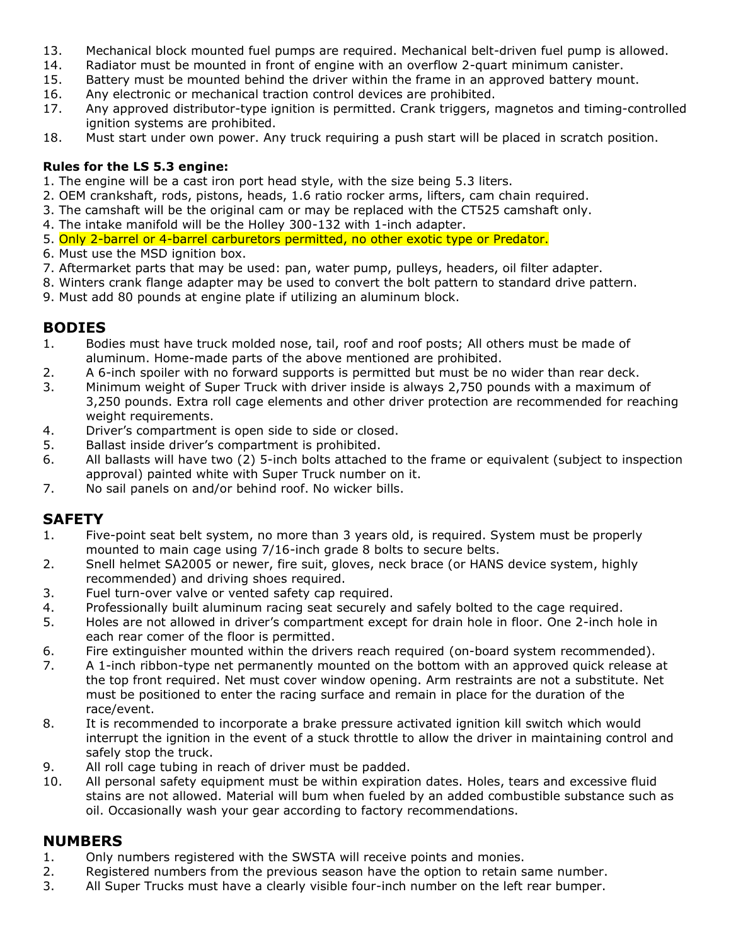- 13. Mechanical block mounted fuel pumps are required. Mechanical belt-driven fuel pump is allowed.
- 14. Radiator must be mounted in front of engine with an overflow 2-quart minimum canister.
- 15. Battery must be mounted behind the driver within the frame in an approved battery mount.
- 16. Any electronic or mechanical traction control devices are prohibited.
- 17. Any approved distributor-type ignition is permitted. Crank triggers, magnetos and timing-controlled ignition systems are prohibited.
- 18. Must start under own power. Any truck requiring a push start will be placed in scratch position.

#### **Rules for the LS 5.3 engine:**

- 1. The engine will be a cast iron port head style, with the size being 5.3 liters.
- 2. OEM crankshaft, rods, pistons, heads, 1.6 ratio rocker arms, lifters, cam chain required.
- 3. The camshaft will be the original cam or may be replaced with the CT525 camshaft only.
- 4. The intake manifold will be the Holley 300-132 with 1-inch adapter.
- 5. Only 2-barrel or 4-barrel carburetors permitted, no other exotic type or Predator.
- 6. Must use the MSD ignition box.
- 7. Aftermarket parts that may be used: pan, water pump, pulleys, headers, oil filter adapter.
- 8. Winters crank flange adapter may be used to convert the bolt pattern to standard drive pattern.
- 9. Must add 80 pounds at engine plate if utilizing an aluminum block.

### **BODIES**

- 1. Bodies must have truck molded nose, tail, roof and roof posts; All others must be made of aluminum. Home-made parts of the above mentioned are prohibited.
- 2. A 6-inch spoiler with no forward supports is permitted but must be no wider than rear deck.
- 3. Minimum weight of Super Truck with driver inside is always 2,750 pounds with a maximum of 3,250 pounds. Extra roll cage elements and other driver protection are recommended for reaching weight requirements.
- 4. Driver's compartment is open side to side or closed.
- 5. Ballast inside driver's compartment is prohibited.
- 6. All ballasts will have two (2) 5-inch bolts attached to the frame or equivalent (subject to inspection approval) painted white with Super Truck number on it.
- 7. No sail panels on and/or behind roof. No wicker bills.

### **SAFETY**

- 1. Five-point seat belt system, no more than 3 years old, is required. System must be properly mounted to main cage using 7/16-inch grade 8 bolts to secure belts.
- 2. Snell helmet SA2005 or newer, fire suit, gloves, neck brace (or HANS device system, highly recommended) and driving shoes required.
- 3. Fuel turn-over valve or vented safety cap required.
- 4. Professionally built aluminum racing seat securely and safely bolted to the cage required.
- 5. Holes are not allowed in driver's compartment except for drain hole in floor. One 2-inch hole in each rear comer of the floor is permitted.
- 6. Fire extinguisher mounted within the drivers reach required (on-board system recommended).
- 7. A 1-inch ribbon-type net permanently mounted on the bottom with an approved quick release at the top front required. Net must cover window opening. Arm restraints are not a substitute. Net must be positioned to enter the racing surface and remain in place for the duration of the race/event.
- 8. It is recommended to incorporate a brake pressure activated ignition kill switch which would interrupt the ignition in the event of a stuck throttle to allow the driver in maintaining control and safely stop the truck.
- 9. All roll cage tubing in reach of driver must be padded.
- 10. All personal safety equipment must be within expiration dates. Holes, tears and excessive fluid stains are not allowed. Material will bum when fueled by an added combustible substance such as oil. Occasionally wash your gear according to factory recommendations.

### **NUMBERS**

- 1. Only numbers registered with the SWSTA will receive points and monies.
- 2. Registered numbers from the previous season have the option to retain same number.
- 3. All Super Trucks must have a clearly visible four-inch number on the left rear bumper.